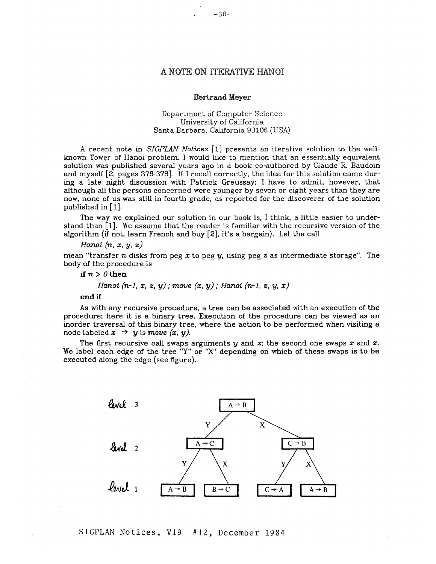# A NOTE ON ITERATIVE HANOI

### Bertrand Meyer

## Department of Computer Science University of California Santa Barbara, California 93106 (USA)

A recent note in *SIGPLAN Notices* [1] presents an iterative solution to the wellknown Tower of Hanoi problem. I would like to mention that an essentially equivalent solution was published several years ago in a book co-authored by Claude R. Baudoin and myself [2, pages 376-378]. If I recall correctly, the idea for this solution came during a late night discussion with Patrick Greussay; I have to admit, however, that although all the persons concerned were younger by seven or eight years than they are now, none of us was still in fourth grade, as reported for the discoverer of the solution published in  $\lceil 1 \rceil$ .

The way we explained our solution in our book is, I think, a little easier to understand than  $\lceil 1 \rceil$ . We assume that the reader is familiar with the recursive version of the algorithm (if not, learn French and buy [2], it's a bargain). Let the call

*Hanoi (n, z, y, z)* 

mean "transfer n disks from peg x to peg y, using peg z as intermediate storage". The body of the procedure is

**if**  $n > 0$  then

Hanoi 
$$
(n-1, x, z, y)
$$
; move  $(x, y)$ ; Hanoi  $(n-1, z, y, x)$ 

### **end ff**

As with any recursive procedure, a tree can be associated with an execution of the procedure; here it is a binary tree. Execution of the procedure can be viewed as an inorder traversal of this binary tree, where the action to be performed when visiting a node labeled  $x \rightarrow y$  is *move*  $(x, y)$ .

The first recursive call swaps arguments  $y$  and  $z$ ; the second one swaps  $x$  and  $z$ . We label each edge of the tree "Y" or "X" depending on which of these swaps is to be executed along the edge (see figure).



SIGPLAN Notices, VI9 #12, December 1984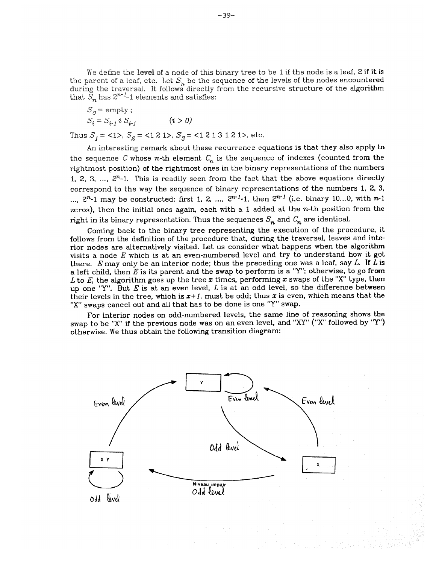We define the level of a node of this binary tree to be 1 if the node is a leaf, 2 if it is the parent of a leaf, etc. Let  $S_n$  be the sequence of the levels of the nodes encounte**red** during the traversal. It follows directly from the recursive structure of the algorithm that  $S_n$  has  $2^{n-1}$ -1 elements and satisfies:

$$
S_0 = \text{empty};
$$
  
\n
$$
S_i = S_{i-1} i S_{i-1}
$$
  $(i > 0)$ 

Thus  $S_1 = \langle 1 \rangle$ ,  $S_2 = \langle 121 \rangle$ ,  $S_3 = \langle 1213121 \rangle$ , etc.

An interesting remark about these recurrence equations is that they also apply to the sequence C whose n-th element  $C_n$  is the sequence of indexes (counted from the rightmost position) of the rightmost ones in the binary representations of the numbers 1, 2, 3, ...,  $2^{n}$ -1. This is readily seen from the fact that the above equations directly correspond to the way the sequence of binary representations of the numbers  $1, 2, 3$ , ...,  $2^{n}$ -1 may be constructed: first 1, 2, ...,  $2^{n-1}$ -1, then  $2^{n-1}$  (i.e. binary 10...0, with n-1 zeros), then the initial ones again, each with a 1 added at the  $n$ -th position from the right in its binary representation. Thus the sequences  $S_n$  and  $C_n$  are identical.

Coming back to the binary tree representing the execution of the procedure, it follows from the definition of the procedure that, during the traversal, leaves and interior nodes are alternatively visited. Let us consider what happens when the algorithm visits a node  $E$  which is at an even-numbered level and try to understand how it got there. E may only be an interior node; thus the preceding one was a leaf, say  $L$ . If  $L$  is a left child, then E is its parent and the swap to *perform* is a "Y"; otherwise, to go from L to E, the algorithm goes up the tree x times, performing x swaps of the "X" type, then up one "Y". But  $E$  is at an even level,  $L$  is at an odd level, so the difference between their levels in the tree, which is  $x+1$ , must be odd; thus x is even, which means that the "X" swaps cancel out and all that has to be done is one "Y" swap.

For interior nodes on odd-numbered levels, the same line of reasoning shows the swap to be "X" if the previous node was on an even level, and "XY" ("X" followed by "Y") otherwise. We thus obtain the following transition diagram: